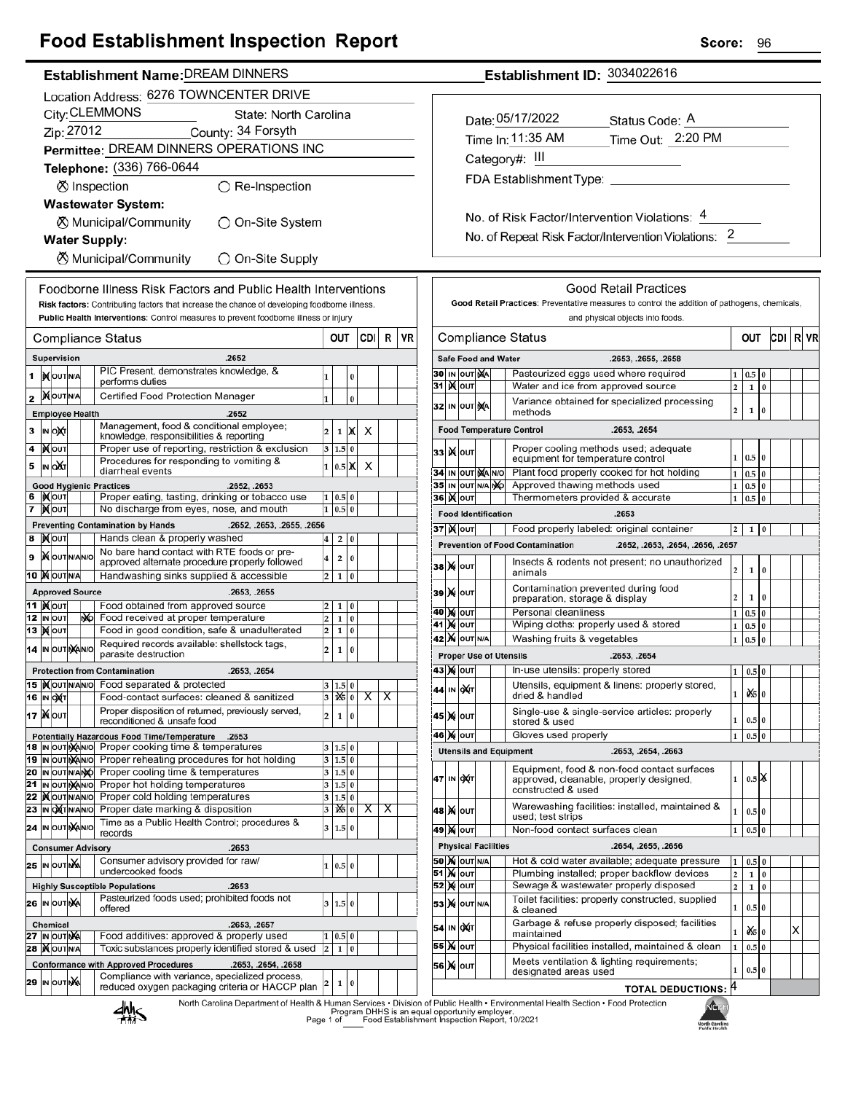## **Food Establishment Inspection Report**

| Establishment Name:DREAM DINNERS |
|----------------------------------|
|                                  |

|                                          |                                          |                                  |  |     | Location Address: 6276 TOWNCENTER DRIVE                                                                              |                         |                   |          |                         |                         |    |
|------------------------------------------|------------------------------------------|----------------------------------|--|-----|----------------------------------------------------------------------------------------------------------------------|-------------------------|-------------------|----------|-------------------------|-------------------------|----|
|                                          | City: CLEMMONS<br>State: North Carolina  |                                  |  |     |                                                                                                                      |                         |                   |          |                         |                         |    |
| Zip: 27012<br>County: 34 Forsyth         |                                          |                                  |  |     |                                                                                                                      |                         |                   |          |                         |                         |    |
| Permittee: DREAM DINNERS OPERATIONS INC  |                                          |                                  |  |     |                                                                                                                      |                         |                   |          |                         |                         |    |
| Telephone: (336) 766-0644                |                                          |                                  |  |     |                                                                                                                      |                         |                   |          |                         |                         |    |
| ⊗ Inspection<br>$\bigcirc$ Re-Inspection |                                          |                                  |  |     |                                                                                                                      |                         |                   |          |                         |                         |    |
|                                          | <b>Wastewater System:</b>                |                                  |  |     |                                                                                                                      |                         |                   |          |                         |                         |    |
|                                          | ⊗ Municipal/Community<br>)On-Site System |                                  |  |     |                                                                                                                      |                         |                   |          |                         |                         |    |
|                                          |                                          |                                  |  |     | <b>Water Supply:</b>                                                                                                 |                         |                   |          |                         |                         |    |
|                                          |                                          |                                  |  |     | ⊗ Municipal/Community<br>◯ On-Site Supply                                                                            |                         |                   |          |                         |                         |    |
|                                          |                                          |                                  |  |     | Foodborne Illness Risk Factors and Public Health Interventions                                                       |                         |                   |          |                         |                         |    |
|                                          |                                          |                                  |  |     | Risk factors: Contributing factors that increase the chance of developing foodborne illness.                         |                         |                   |          |                         |                         |    |
|                                          |                                          |                                  |  |     | Public Health Interventions: Control measures to prevent foodborne illness or injury                                 |                         |                   |          |                         |                         |    |
|                                          |                                          |                                  |  |     | Compliance Status                                                                                                    |                         | OUT               |          | CDII                    | R                       | VR |
|                                          |                                          | <b>Supervision</b>               |  |     | .2652                                                                                                                |                         |                   |          |                         |                         |    |
| 1                                        |                                          | <b>IX</b> OUTINA                 |  |     | PIC Present, demonstrates knowledge, &                                                                               | 1                       |                   | 0        |                         |                         |    |
|                                          |                                          |                                  |  |     | performs duties                                                                                                      |                         |                   |          |                         |                         |    |
| 2                                        |                                          | <b>MOUTINA</b>                   |  |     | Certified Food Protection Manager                                                                                    | 1                       |                   | 0        |                         |                         |    |
|                                          |                                          | <b>Employee Health</b>           |  |     | .2652<br>Management, food & conditional employee;                                                                    |                         |                   |          |                         |                         |    |
| 3                                        |                                          | IN ONT                           |  |     | knowledge, responsibilities & reporting                                                                              | 2                       | 1                 | х        | х                       |                         |    |
| 4                                        |                                          | )Х∣о∪т                           |  |     | Proper use of reporting, restriction & exclusion                                                                     | 3                       | 1.5               | 0        |                         |                         |    |
| 5                                        |                                          | IN OUT                           |  |     | Procedures for responding to vomiting &<br>diarrheal events                                                          | 1                       | $0.5\vert X$      |          | х                       |                         |    |
|                                          |                                          |                                  |  |     | <b>Good Hygienic Practices</b><br>.2652, .2653                                                                       |                         |                   |          |                         |                         |    |
| 6<br>7                                   |                                          | IX OUT<br><b>X</b> OUT           |  |     | Proper eating, tasting, drinking or tobacco use<br>No discharge from eyes, nose, and mouth                           | 1<br>1                  | 0.5 0<br>0.5      | 0        |                         |                         |    |
|                                          |                                          |                                  |  |     | <b>Preventing Contamination by Hands</b><br>.2652, .2653, .2655, .2656                                               |                         |                   |          |                         |                         |    |
| 8                                        |                                          | <b>X</b> OUT                     |  |     | Hands clean & properly washed                                                                                        | 4                       | 2                 | 0        |                         |                         |    |
| 9                                        |                                          | <b>X</b> OUTINANO                |  |     | No bare hand contact with RTE foods or pre-                                                                          | 4                       | 2                 | 0        |                         |                         |    |
|                                          |                                          | 10 MOUTNA                        |  |     | approved alternate procedure properly followed<br>Handwashing sinks supplied & accessible                            | 2                       | 1                 | 0        |                         |                         |    |
|                                          |                                          | <b>Approved Source</b>           |  |     | .2653, .2655                                                                                                         |                         |                   |          |                         |                         |    |
|                                          |                                          | 11  ) <b>χ</b> <sub>l</sub> out  |  |     | Food obtained from approved source                                                                                   | 2                       | 1                 | 0        |                         |                         |    |
|                                          |                                          | 12 IN OUT                        |  | NO. | Food received at proper temperature                                                                                  | 2                       | 1                 | 0        |                         |                         |    |
|                                          |                                          | <b>13  Х</b>   оит               |  |     | Food in good condition, safe & unadulterated<br>0<br>2<br>1<br>Required records available: shellstock tags,          |                         |                   |          |                         |                         |    |
|                                          |                                          | 14 IN OUT NANO                   |  |     | parasite destruction                                                                                                 | 2                       | 1                 | 0        |                         |                         |    |
|                                          |                                          |                                  |  |     | <b>Protection from Contamination</b><br>.2653, .2654                                                                 |                         |                   |          |                         |                         |    |
|                                          |                                          | 15  )(OUTN/AN/O                  |  |     | Food separated & protected                                                                                           |                         | 1.5 0             |          |                         |                         |    |
|                                          |                                          | 16 IN OXT                        |  |     | Food-contact surfaces: cleaned & sanitized<br>Proper disposition of returned, previously served,                     | 3                       | $ \mathbf{16} $ 0 |          | $\overline{\mathsf{x}}$ | $\overline{\mathsf{x}}$ |    |
|                                          |                                          | 17   Nout                        |  |     | reconditioned & unsafe food                                                                                          | 2                       | 1                 | 0        |                         |                         |    |
|                                          |                                          | 18 IN OUT NANO                   |  |     | Potentially Hazardous Food Time/Temperature<br>.2653<br>Proper cooking time & temperatures                           |                         |                   |          |                         |                         |    |
| 19                                       |                                          | IN OUT NANO                      |  |     | Proper reheating procedures for hot holding                                                                          | 3<br>3                  | 1.5<br>1.5 0      | 0        |                         |                         |    |
| 20                                       |                                          | IN OUTNANO                       |  |     | Proper cooling time & temperatures                                                                                   | 3                       | 1.5 0             |          |                         |                         |    |
| 21                                       |                                          | IN OUT NANO                      |  |     | Proper hot holding temperatures                                                                                      | 3                       | 1.5 0             |          |                         |                         |    |
| 22<br>23                                 |                                          | <b>IX</b> OUTINANO<br>IN OXTNANO |  |     | Proper cold holding temperatures<br>Proper date marking & disposition                                                | 3<br>3                  | 1.5<br>1X5   0    | $\bf{0}$ | х                       | х                       |    |
|                                          |                                          | 24 IN OUT NANO                   |  |     | Time as a Public Health Control; procedures &                                                                        | 3                       | 1.5               | 0        |                         |                         |    |
|                                          |                                          |                                  |  |     | records                                                                                                              |                         |                   |          |                         |                         |    |
|                                          |                                          | <b>25 IN OUT NA</b>              |  |     | <b>Consumer Advisory</b><br>.2653<br>Consumer advisory provided for raw/                                             |                         |                   |          |                         |                         |    |
|                                          |                                          |                                  |  |     | undercooked foods                                                                                                    | 1                       | 0.5 0             |          |                         |                         |    |
|                                          |                                          |                                  |  |     | .2653<br><b>Highly Susceptible Populations</b>                                                                       |                         |                   |          |                         |                         |    |
|                                          |                                          | 26 IN OUTINA                     |  |     | Pasteurized foods used; prohibited foods not<br>offered                                                              | 3                       | 1.5 0             |          |                         |                         |    |
|                                          |                                          | <b>Chemical</b>                  |  |     | .2653, .2657                                                                                                         |                         |                   |          |                         |                         |    |
| 27                                       |                                          | IN OUT NA                        |  |     | Food additives: approved & properly used                                                                             | 1                       | 0.5               | 0        |                         |                         |    |
| 28                                       |                                          | <b>XOUTNA</b>                    |  |     | Toxic substances properly identified stored & used                                                                   | $\overline{\mathbf{c}}$ | 1                 | 0        |                         |                         |    |
|                                          |                                          |                                  |  |     | <b>Conformance with Approved Procedures</b><br>.2653, .2654, .2658<br>Compliance with variance, specialized process, |                         |                   |          |                         |                         |    |
|                                          |                                          | 29 IN OUT NA                     |  |     | reduced oxygen packaging criteria or HACCP plan                                                                      | 2                       | $\mathbf 1$       | 0        |                         |                         |    |

Establishment ID: 3034022616

 $\overline{1}$ 

| Date: 05/17/2022        | Status Code: A    |
|-------------------------|-------------------|
| Time In: 11:35 AM       | Time Out: 2:20 PM |
| Category#: III          |                   |
| FDA Establishment Type: |                   |
|                         |                   |

No. of Risk Factor/Intervention Violations: 4 No. of Repeat Risk Factor/Intervention Violations: 2

|                                                                                                               |                          |                                                                      |  |                            | and physical objects into foods.                                                                             |                         |                    |                |     |   |    |
|---------------------------------------------------------------------------------------------------------------|--------------------------|----------------------------------------------------------------------|--|----------------------------|--------------------------------------------------------------------------------------------------------------|-------------------------|--------------------|----------------|-----|---|----|
|                                                                                                               | <b>Compliance Status</b> |                                                                      |  |                            |                                                                                                              |                         | out                |                | CDI | R | VR |
|                                                                                                               |                          |                                                                      |  | <b>Safe Food and Water</b> | .2653, .2655, .2658                                                                                          |                         |                    |                |     |   |    |
| Pasteurized eggs used where required<br>30<br>IN OUT NA                                                       |                          |                                                                      |  |                            |                                                                                                              |                         |                    |                |     |   |    |
| 31                                                                                                            | ж                        | OUT                                                                  |  |                            | Water and ice from approved source                                                                           | 2                       | 1                  | $\bf{0}$       |     |   |    |
| 32                                                                                                            |                          | Variance obtained for specialized processing<br>IN OUT NA<br>methods |  |                            |                                                                                                              |                         |                    |                |     |   |    |
|                                                                                                               |                          |                                                                      |  |                            | <b>Food Temperature Control</b><br>.2653, .2654                                                              |                         |                    |                |     |   |    |
| 33                                                                                                            | x                        | OUT                                                                  |  |                            | Proper cooling methods used; adequate<br>equipment for temperature control                                   | $\mathbf{1}$            | 0.5                | $\overline{0}$ |     |   |    |
| 34                                                                                                            | IN                       | OUT MA NO                                                            |  |                            | Plant food properly cooked for hot holding                                                                   | $\mathbf{1}$            | 0.5                | $\bf{0}$       |     |   |    |
| 35                                                                                                            |                          | IN OUT N/A NO                                                        |  |                            | Approved thawing methods used                                                                                | 1                       | 0.5                | 0              |     |   |    |
|                                                                                                               |                          | 36∣ )( ∣о∪т                                                          |  |                            | Thermometers provided & accurate                                                                             | $\mathbf{1}$            | 0.5                | $\bf{0}$       |     |   |    |
|                                                                                                               |                          |                                                                      |  | <b>Food Identification</b> | .2653                                                                                                        |                         |                    |                |     |   |    |
|                                                                                                               |                          | <b>37 )(</b> олт                                                     |  |                            | Food properly labeled: original container                                                                    | 2                       | 1                  | 0              |     |   |    |
|                                                                                                               |                          |                                                                      |  |                            | .2652, .2653, .2654, .2656, .2657<br><b>Prevention of Food Contamination</b>                                 |                         |                    |                |     |   |    |
| 38                                                                                                            |                          | <b>X</b> OUT                                                         |  |                            | Insects & rodents not present; no unauthorized<br>animals                                                    | $\overline{2}$          | $\mathbf 1$        | 0              |     |   |    |
| 39                                                                                                            |                          | <b>X</b> OUT                                                         |  |                            | Contamination prevented during food<br>preparation, storage & display                                        | $\overline{2}$          | 1                  | $\bf{0}$       |     |   |    |
| 40                                                                                                            | м                        | OUT                                                                  |  |                            | Personal cleanliness                                                                                         | $\mathbf{1}$            | 0.5                | $\bf{0}$       |     |   |    |
| 41                                                                                                            |                          | <b>X</b> OUT                                                         |  |                            | Wiping cloths: properly used & stored                                                                        | $\mathbf 1$             | 0.5                | 0              |     |   |    |
| <b>X</b> OUT N/A<br>Washing fruits & vegetables<br>42<br>$\mathbf{1}$<br>0.5                                  |                          |                                                                      |  |                            |                                                                                                              |                         |                    |                |     |   |    |
|                                                                                                               |                          |                                                                      |  |                            | <b>Proper Use of Utensils</b><br>.2653, .2654                                                                |                         |                    |                |     |   |    |
| 43                                                                                                            |                          | <b>X</b> OUT                                                         |  |                            | In-use utensils: properly stored                                                                             | 1                       | 0.5                | $\bf{0}$       |     |   |    |
| 44                                                                                                            | IN                       | ОХІТ                                                                 |  |                            | Utensils, equipment & linens: properly stored,<br>dried & handled                                            | 1                       | 0 \$10             |                |     |   |    |
| 45                                                                                                            | M                        | OUT                                                                  |  |                            | Single-use & single-service articles: properly<br>stored & used                                              | 1                       | 0.5                | $\bf{0}$       |     |   |    |
| 46                                                                                                            |                          | <b>X</b> OUT                                                         |  |                            | Gloves used properly                                                                                         | 1                       | 0.5                | 0              |     |   |    |
|                                                                                                               |                          |                                                                      |  |                            | <b>Utensils and Equipment</b><br>.2653, .2654, .2663                                                         |                         |                    |                |     |   |    |
| 47                                                                                                            | IN                       | ох(т                                                                 |  |                            | Equipment, food & non-food contact surfaces<br>approved, cleanable, properly designed,<br>constructed & used | $\mathbf{1}$            | $0.5$ $\mathbb{X}$ |                |     |   |    |
| 48                                                                                                            |                          | <b>X</b> OUT                                                         |  |                            | Warewashing facilities: installed, maintained &<br>used; test strips                                         | 1                       | 0.5                | $\bf{0}$       |     |   |    |
| 49                                                                                                            |                          | <b>X</b> OUT                                                         |  |                            | Non-food contact surfaces clean                                                                              | 1                       | 0.5                | $\bf{0}$       |     |   |    |
|                                                                                                               |                          |                                                                      |  | <b>Physical Facilities</b> | .2654, .2655, .2656                                                                                          |                         |                    |                |     |   |    |
|                                                                                                               |                          | <b>50 M</b> OUT N/A                                                  |  |                            | Hot & cold water available; adequate pressure                                                                | 1                       | 0.5                | $\bf{0}$       |     |   |    |
| 51                                                                                                            |                          | <b>X</b> OUT                                                         |  |                            | Plumbing installed; proper backflow devices                                                                  | $\overline{\mathbf{c}}$ | $\mathbf{1}$       | $\bf{0}$       |     |   |    |
| 52                                                                                                            | X                        | OUT                                                                  |  |                            | Sewage & wastewater properly disposed                                                                        | $\overline{2}$          | 1                  | $\bf{0}$       |     |   |    |
| 53                                                                                                            | M                        | OUT N/A                                                              |  |                            | Toilet facilities: properly constructed, supplied<br>& cleaned                                               | $\mathbf 1$             | 0.5                | $\bf{0}$       |     |   |    |
| 54                                                                                                            | IN                       | охт                                                                  |  |                            | Garbage & refuse properly disposed; facilities<br>òś.<br>1<br>maintained                                     |                         |                    |                |     | X |    |
| 55                                                                                                            | M                        | OUT                                                                  |  |                            | Physical facilities installed, maintained & clean                                                            | $\mathbf{1}$            | 0.5                | $\bf{0}$       |     |   |    |
| Meets ventilation & lighting requirements;<br>56<br>M<br>OUT<br>1<br>$\bf{0}$<br>0.5<br>designated areas used |                          |                                                                      |  |                            |                                                                                                              |                         |                    |                |     |   |    |
|                                                                                                               |                          |                                                                      |  |                            |                                                                                                              | 14                      |                    |                |     |   |    |

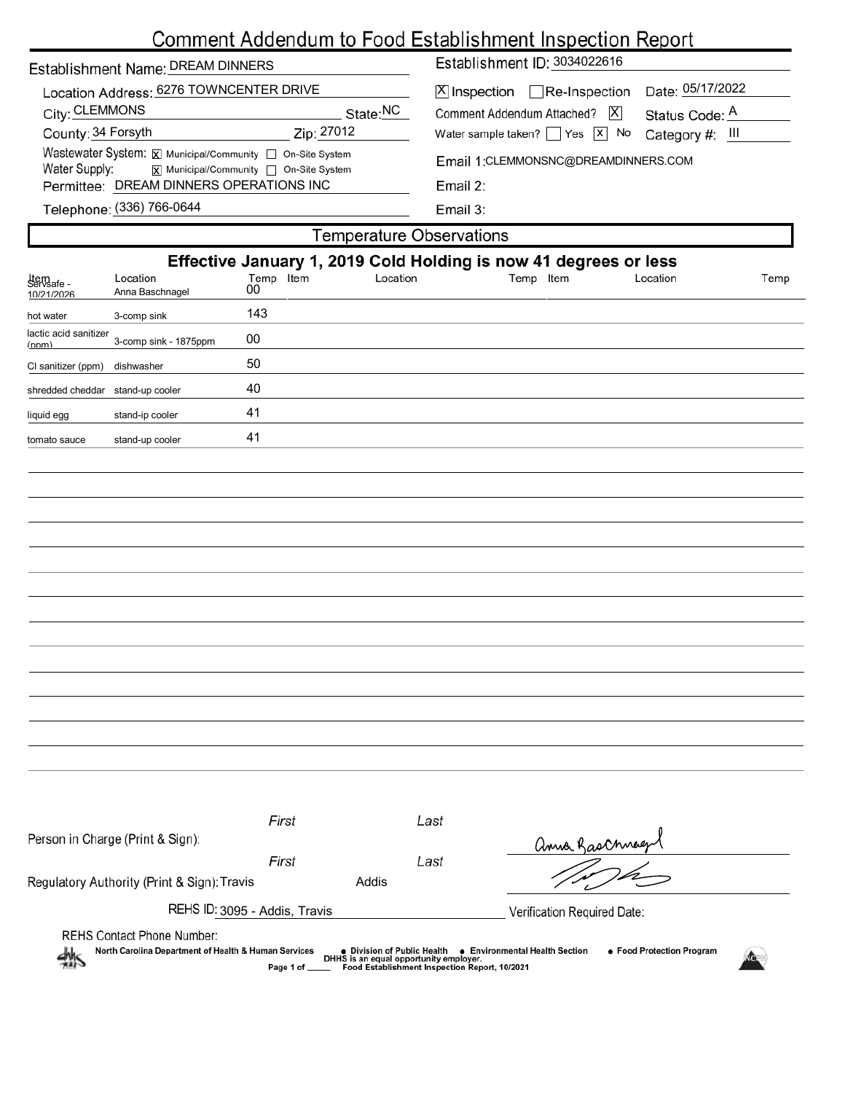# Comment Addendum to Food Establishment Inspection Report

| Establishment Name: DREAM DINNERS |  |  |
|-----------------------------------|--|--|
|                                   |  |  |

| Location Address: 6276 TOWNCENTER DRIVE                                                        |                      |
|------------------------------------------------------------------------------------------------|----------------------|
| City: CLEMMONS                                                                                 | State: <sup>NC</sup> |
| County: 34 Forsyth                                                                             | Zip: 27012           |
| Wastewater System: X Municipal/Community   On-Site System                                      |                      |
| Water Supply:<br>$\boxed{\mathsf{x}}$ Municipal/Community $\boxed{\phantom{a}}$ On-Site System |                      |
| Permittee: DREAM DINNERS OPERATIONS INC                                                        |                      |
| $T_{\rm H}$ (226) 766 0644                                                                     |                      |

Establishment ID: 3034022616

| 区 Inspection Re-Inspection Date: 05/17/2022                   |  |
|---------------------------------------------------------------|--|
| Comment Addendum Attached?   X Status Code: A                 |  |
| Water sample taken? $\Box$ Yes $\boxed{x}$ No Category #: III |  |

Email 1:CLEMMONSNC@DREAMDINNERS.COM

Email 2:

Telephone: (336) 766-0644

г

Email 3:

| <b>Temperature Observations</b>                                  |                                                                                           |                               |          |      |                                                                                                                                                       |                                  |      |  |  |
|------------------------------------------------------------------|-------------------------------------------------------------------------------------------|-------------------------------|----------|------|-------------------------------------------------------------------------------------------------------------------------------------------------------|----------------------------------|------|--|--|
| Effective January 1, 2019 Cold Holding is now 41 degrees or less |                                                                                           |                               |          |      |                                                                                                                                                       |                                  |      |  |  |
| Item<br>Servsafe -<br>10/21/2026                                 | Location<br>Anna Baschnagel                                                               | Temp Item<br>00               | Location |      | Temp Item                                                                                                                                             | Location                         | Temp |  |  |
| hot water                                                        | 3-comp sink                                                                               | 143                           |          |      |                                                                                                                                                       |                                  |      |  |  |
| lactic acid sanitizer<br>(nnm)                                   | 3-comp sink - 1875ppm                                                                     | $00\,$                        |          |      |                                                                                                                                                       |                                  |      |  |  |
| CI sanitizer (ppm)                                               | dishwasher                                                                                | 50                            |          |      |                                                                                                                                                       |                                  |      |  |  |
| shredded cheddar stand-up cooler                                 |                                                                                           | 40                            |          |      |                                                                                                                                                       |                                  |      |  |  |
| liquid egg                                                       | stand-ip cooler                                                                           | 41                            |          |      |                                                                                                                                                       |                                  |      |  |  |
| tomato sauce                                                     | stand-up cooler                                                                           | 41                            |          |      |                                                                                                                                                       |                                  |      |  |  |
|                                                                  |                                                                                           |                               |          |      |                                                                                                                                                       |                                  |      |  |  |
|                                                                  |                                                                                           |                               |          |      |                                                                                                                                                       |                                  |      |  |  |
|                                                                  |                                                                                           |                               |          |      |                                                                                                                                                       |                                  |      |  |  |
|                                                                  |                                                                                           |                               |          |      |                                                                                                                                                       |                                  |      |  |  |
|                                                                  |                                                                                           |                               |          |      |                                                                                                                                                       |                                  |      |  |  |
|                                                                  |                                                                                           |                               |          |      |                                                                                                                                                       |                                  |      |  |  |
|                                                                  |                                                                                           |                               |          |      |                                                                                                                                                       |                                  |      |  |  |
|                                                                  |                                                                                           |                               |          |      |                                                                                                                                                       |                                  |      |  |  |
|                                                                  |                                                                                           |                               |          |      |                                                                                                                                                       |                                  |      |  |  |
|                                                                  |                                                                                           |                               |          |      |                                                                                                                                                       |                                  |      |  |  |
|                                                                  |                                                                                           |                               |          |      |                                                                                                                                                       |                                  |      |  |  |
|                                                                  |                                                                                           |                               |          |      |                                                                                                                                                       |                                  |      |  |  |
|                                                                  |                                                                                           |                               |          |      |                                                                                                                                                       |                                  |      |  |  |
|                                                                  |                                                                                           |                               |          |      |                                                                                                                                                       |                                  |      |  |  |
|                                                                  |                                                                                           | First                         |          | Last |                                                                                                                                                       |                                  |      |  |  |
|                                                                  | Person in Charge (Print & Sign):                                                          |                               |          |      |                                                                                                                                                       | anna Gaschneep                   |      |  |  |
|                                                                  |                                                                                           | First                         |          | Last |                                                                                                                                                       |                                  |      |  |  |
|                                                                  | Regulatory Authority (Print & Sign): Travis                                               |                               | Addis    |      |                                                                                                                                                       |                                  |      |  |  |
|                                                                  |                                                                                           | REHS ID: 3095 - Addis, Travis |          |      | Verification Required Date:                                                                                                                           |                                  |      |  |  |
| $\frac{1}{2}$                                                    | <b>REHS Contact Phone Number:</b><br>North Carolina Department of Health & Human Services | Page 1 of                     |          |      | • Division of Public Health • Environmental Health Section<br>DHHS is an equal opportunity employer.<br>Food Establishment Inspection Report, 10/2021 | <b>• Food Protection Program</b> |      |  |  |